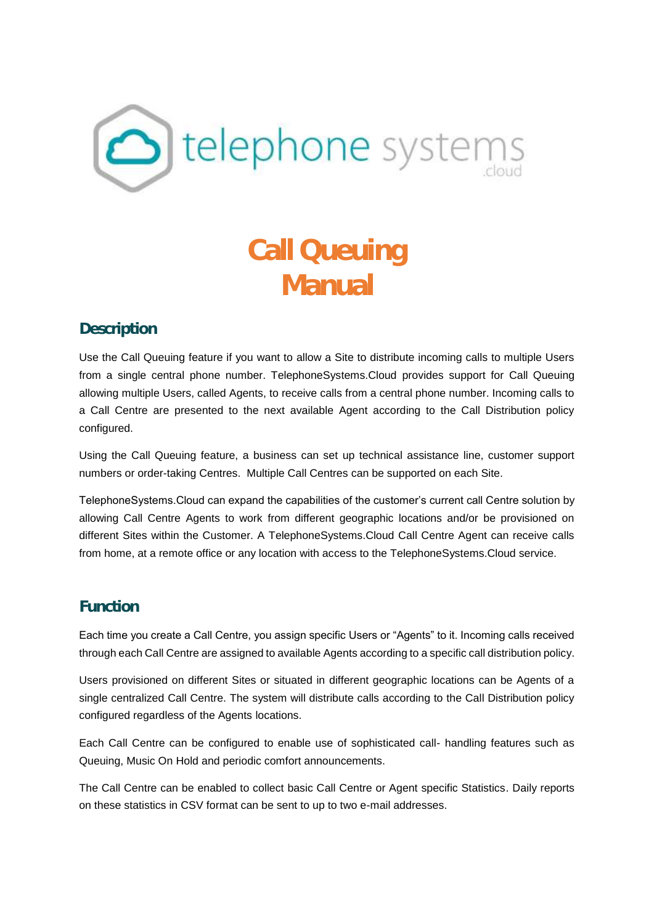

# **Call Queuing Manual**

# **Description**

Use the Call Queuing feature if you want to allow a Site to distribute incoming calls to multiple Users from a single central phone number. TelephoneSystems.Cloud provides support for Call Queuing allowing multiple Users, called Agents, to receive calls from a central phone number. Incoming calls to a Call Centre are presented to the next available Agent according to the Call Distribution policy configured.

Using the Call Queuing feature, a business can set up technical assistance line, customer support numbers or order-taking Centres. Multiple Call Centres can be supported on each Site.

TelephoneSystems.Cloud can expand the capabilities of the customer's current call Centre solution by allowing Call Centre Agents to work from different geographic locations and/or be provisioned on different Sites within the Customer. A TelephoneSystems.Cloud Call Centre Agent can receive calls from home, at a remote office or any location with access to the TelephoneSystems.Cloud service.

# **Function**

Each time you create a Call Centre, you assign specific Users or "Agents" to it. Incoming calls received through each Call Centre are assigned to available Agents according to a specific call distribution policy.

Users provisioned on different Sites or situated in different geographic locations can be Agents of a single centralized Call Centre. The system will distribute calls according to the Call Distribution policy configured regardless of the Agents locations.

Each Call Centre can be configured to enable use of sophisticated call- handling features such as Queuing, Music On Hold and periodic comfort announcements.

The Call Centre can be enabled to collect basic Call Centre or Agent specific Statistics. Daily reports on these statistics in CSV format can be sent to up to two e-mail addresses.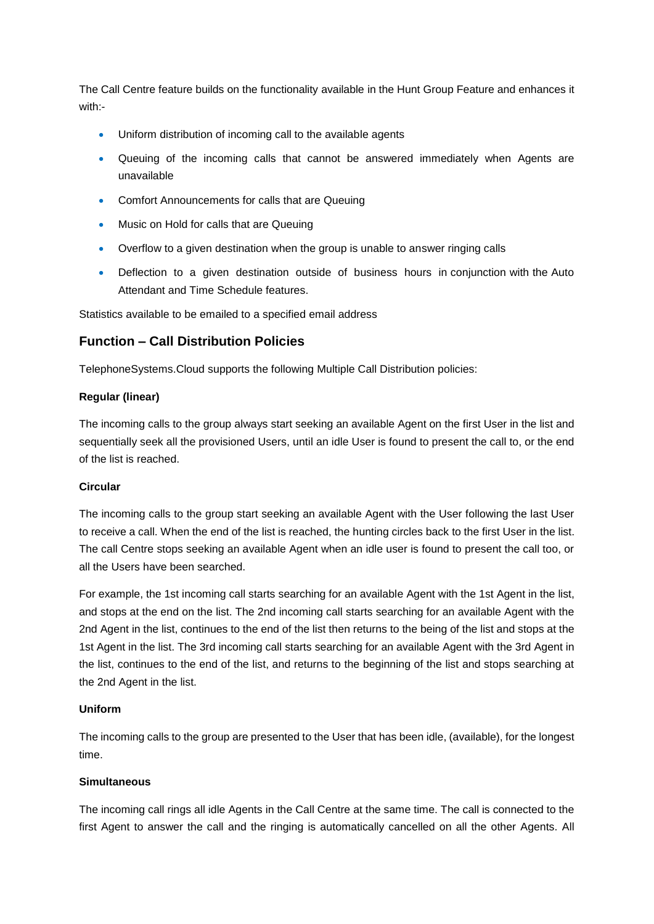The Call Centre feature builds on the functionality available in the Hunt Group Feature and enhances it with:-

- Uniform distribution of incoming call to the available agents
- Queuing of the incoming calls that cannot be answered immediately when Agents are unavailable
- Comfort Announcements for calls that are Queuing
- Music on Hold for calls that are Queuing
- Overflow to a given destination when the group is unable to answer ringing calls
- Deflection to a given destination outside of business hours in conjunction with the Auto Attendant and Time Schedule features.

Statistics available to be emailed to a specified email address

#### **Function – Call Distribution Policies**

TelephoneSystems.Cloud supports the following Multiple Call Distribution policies:

#### **Regular (linear)**

The incoming calls to the group always start seeking an available Agent on the first User in the list and sequentially seek all the provisioned Users, until an idle User is found to present the call to, or the end of the list is reached.

#### **Circular**

The incoming calls to the group start seeking an available Agent with the User following the last User to receive a call. When the end of the list is reached, the hunting circles back to the first User in the list. The call Centre stops seeking an available Agent when an idle user is found to present the call too, or all the Users have been searched.

For example, the 1st incoming call starts searching for an available Agent with the 1st Agent in the list, and stops at the end on the list. The 2nd incoming call starts searching for an available Agent with the 2nd Agent in the list, continues to the end of the list then returns to the being of the list and stops at the 1st Agent in the list. The 3rd incoming call starts searching for an available Agent with the 3rd Agent in the list, continues to the end of the list, and returns to the beginning of the list and stops searching at the 2nd Agent in the list.

#### **Uniform**

The incoming calls to the group are presented to the User that has been idle, (available), for the longest time.

#### **Simultaneous**

The incoming call rings all idle Agents in the Call Centre at the same time. The call is connected to the first Agent to answer the call and the ringing is automatically cancelled on all the other Agents. All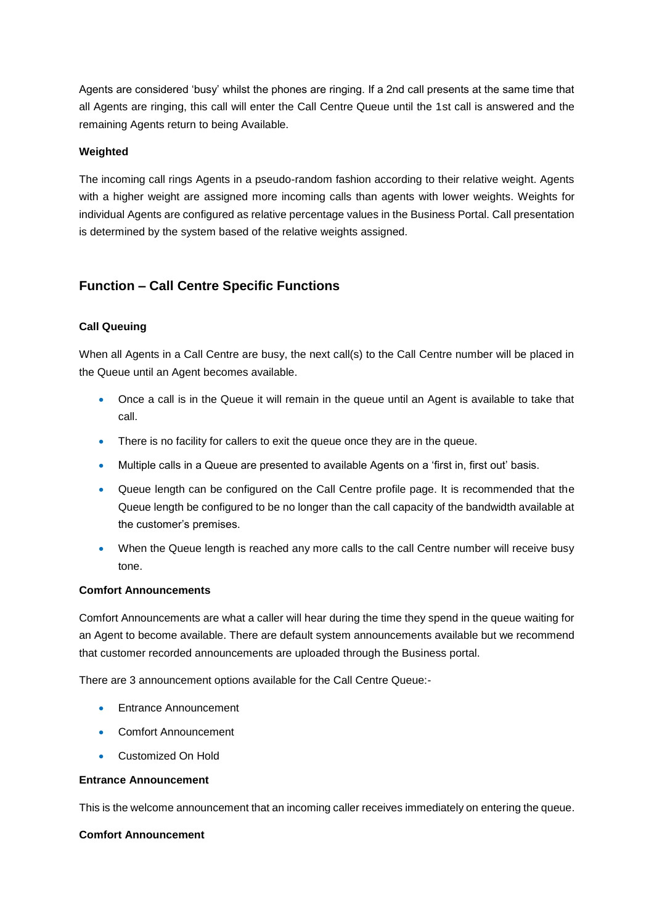Agents are considered 'busy' whilst the phones are ringing. If a 2nd call presents at the same time that all Agents are ringing, this call will enter the Call Centre Queue until the 1st call is answered and the remaining Agents return to being Available.

#### **Weighted**

The incoming call rings Agents in a pseudo-random fashion according to their relative weight. Agents with a higher weight are assigned more incoming calls than agents with lower weights. Weights for individual Agents are configured as relative percentage values in the Business Portal. Call presentation is determined by the system based of the relative weights assigned.

# **Function – Call Centre Specific Functions**

#### **Call Queuing**

When all Agents in a Call Centre are busy, the next call(s) to the Call Centre number will be placed in the Queue until an Agent becomes available.

- Once a call is in the Queue it will remain in the queue until an Agent is available to take that call.
- There is no facility for callers to exit the queue once they are in the queue.
- Multiple calls in a Queue are presented to available Agents on a 'first in, first out' basis.
- Queue length can be configured on the Call Centre profile page. It is recommended that the Queue length be configured to be no longer than the call capacity of the bandwidth available at the customer's premises.
- When the Queue length is reached any more calls to the call Centre number will receive busy tone.

#### **Comfort Announcements**

Comfort Announcements are what a caller will hear during the time they spend in the queue waiting for an Agent to become available. There are default system announcements available but we recommend that customer recorded announcements are uploaded through the Business portal.

There are 3 announcement options available for the Call Centre Queue:-

- **Entrance Announcement**
- Comfort Announcement
- Customized On Hold

#### **Entrance Announcement**

This is the welcome announcement that an incoming caller receives immediately on entering the queue.

#### **Comfort Announcement**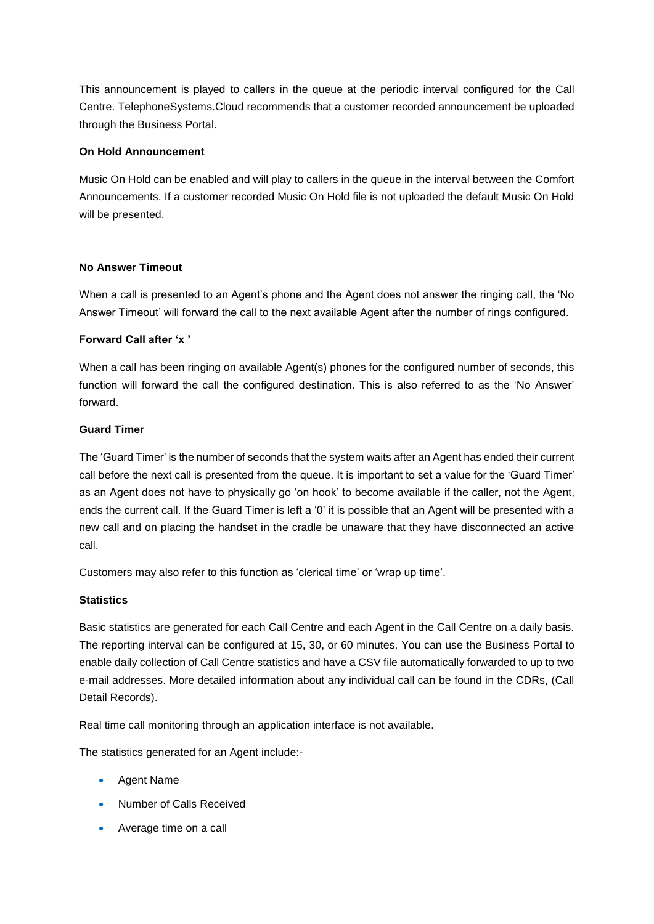This announcement is played to callers in the queue at the periodic interval configured for the Call Centre. TelephoneSystems.Cloud recommends that a customer recorded announcement be uploaded through the Business Portal.

#### **On Hold Announcement**

Music On Hold can be enabled and will play to callers in the queue in the interval between the Comfort Announcements. If a customer recorded Music On Hold file is not uploaded the default Music On Hold will be presented.

#### **No Answer Timeout**

When a call is presented to an Agent's phone and the Agent does not answer the ringing call, the 'No Answer Timeout' will forward the call to the next available Agent after the number of rings configured.

#### **Forward Call after 'x '**

When a call has been ringing on available Agent(s) phones for the configured number of seconds, this function will forward the call the configured destination. This is also referred to as the 'No Answer' forward.

#### **Guard Timer**

The 'Guard Timer' is the number of seconds that the system waits after an Agent has ended their current call before the next call is presented from the queue. It is important to set a value for the 'Guard Timer' as an Agent does not have to physically go 'on hook' to become available if the caller, not the Agent, ends the current call. If the Guard Timer is left a '0' it is possible that an Agent will be presented with a new call and on placing the handset in the cradle be unaware that they have disconnected an active call.

Customers may also refer to this function as 'clerical time' or 'wrap up time'.

#### **Statistics**

Basic statistics are generated for each Call Centre and each Agent in the Call Centre on a daily basis. The reporting interval can be configured at 15, 30, or 60 minutes. You can use the Business Portal to enable daily collection of Call Centre statistics and have a CSV file automatically forwarded to up to two e-mail addresses. More detailed information about any individual call can be found in the CDRs, (Call Detail Records).

Real time call monitoring through an application interface is not available.

The statistics generated for an Agent include:-

- Agent Name
- Number of Calls Received
- Average time on a call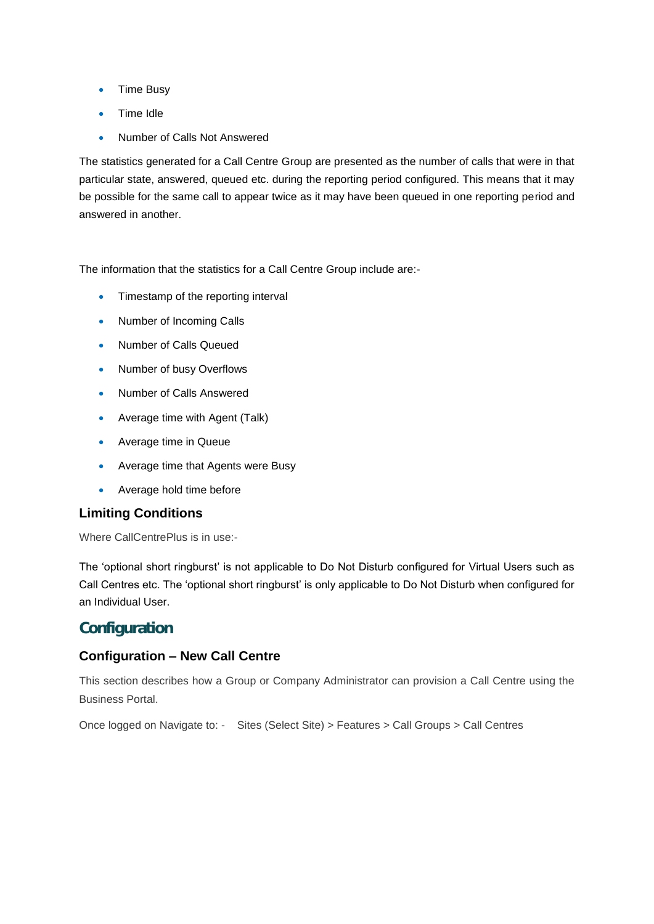- Time Busy
- Time Idle
- Number of Calls Not Answered

The statistics generated for a Call Centre Group are presented as the number of calls that were in that particular state, answered, queued etc. during the reporting period configured. This means that it may be possible for the same call to appear twice as it may have been queued in one reporting period and answered in another.

The information that the statistics for a Call Centre Group include are:-

- Timestamp of the reporting interval
- Number of Incoming Calls
- Number of Calls Queued
- Number of busy Overflows
- Number of Calls Answered
- Average time with Agent (Talk)
- Average time in Queue
- Average time that Agents were Busy
- Average hold time before

#### **Limiting Conditions**

Where CallCentrePlus is in use:-

The 'optional short ringburst' is not applicable to Do Not Disturb configured for Virtual Users such as Call Centres etc. The 'optional short ringburst' is only applicable to Do Not Disturb when configured for an Individual User.

# **Configuration**

#### **Configuration – New Call Centre**

This section describes how a Group or Company Administrator can provision a Call Centre using the Business Portal.

Once logged on Navigate to: - Sites (Select Site) > Features > Call Groups > Call Centres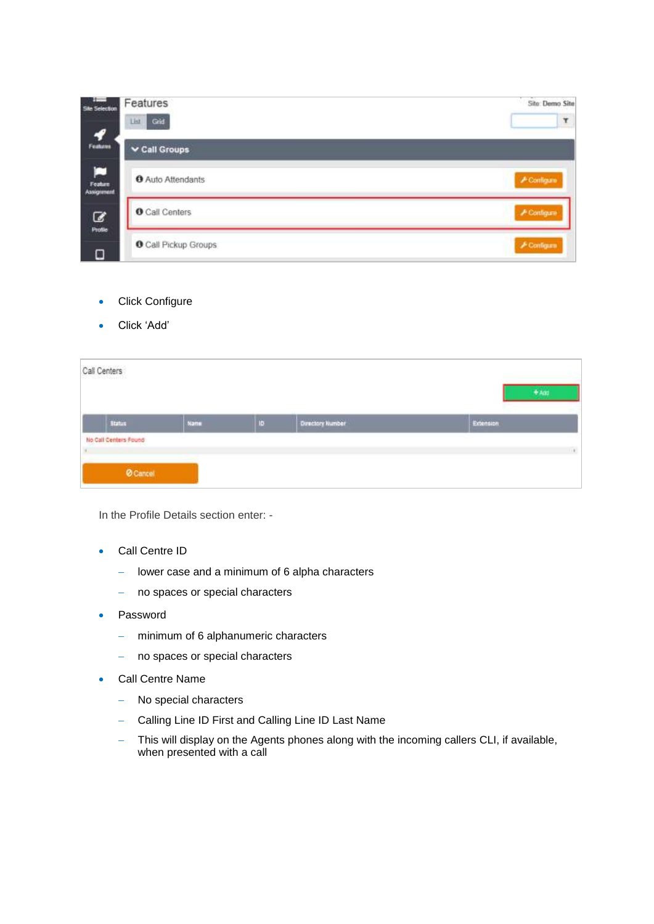| <b>Sile Selection</b>             | Features<br>Grid<br>List    | Sito: Demo Site<br>۲ |
|-----------------------------------|-----------------------------|----------------------|
| $\boldsymbol{f}$<br>Features      | $\vee$ Call Groups          |                      |
| Е<br>Feature<br><b>Assignment</b> | <b>O</b> Auto Attendants    | <b>A Contigure</b>   |
| B                                 | <b>O</b> Call Centers       | <b>A Configure</b>   |
| Profile<br>о                      | <b>O</b> Call Pickup Groups | $\neq$ Configure     |

- **•** Click Configure
- Click 'Add'

| Call Centers | 50226900 (1975)       |      |    |                         | $+$ Add   |
|--------------|-----------------------|------|----|-------------------------|-----------|
|              | <b>Status</b>         | Name | 10 | <b>Otractory Number</b> | Extension |
|              | No Call Centers Found |      |    |                         |           |
|              | <b>O</b> Cancer       |      |    |                         |           |

In the Profile Details section enter: -

- Call Centre ID
	- $\overline{-}$  lower case and a minimum of 6 alpha characters
	- no spaces or special characters
- Password
	- minimum of 6 alphanumeric characters
	- no spaces or special characters
- Call Centre Name
	- No special characters
	- Calling Line ID First and Calling Line ID Last Name
	- This will display on the Agents phones along with the incoming callers CLI, if available, when presented with a call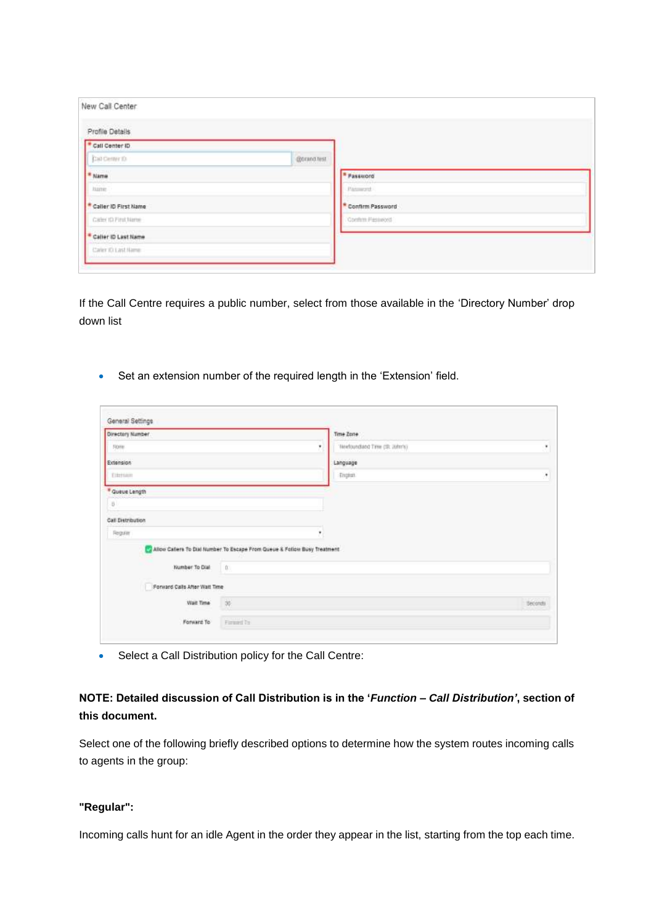| New Call Center                  |             |                       |  |
|----------------------------------|-------------|-----------------------|--|
| Profile Details                  |             |                       |  |
| * Call Center ID.                |             |                       |  |
| Call Center 10                   | @0rand.test |                       |  |
| * Name                           |             | <sup>a</sup> Password |  |
| hame.                            |             | <b>Password</b>       |  |
| Caller ID First Name             |             | * Confirm Password    |  |
| Callet 10 Find Name              |             | Contint Password      |  |
| <sup>*</sup> Caller ID Last Name |             |                       |  |
| Caler IO Last Name               |             |                       |  |

If the Call Centre requires a public number, select from those available in the 'Directory Number' drop down list

Set an extension number of the required length in the 'Extension' field.

| Directory Number              |                                                                          | Time Zone                       |         |
|-------------------------------|--------------------------------------------------------------------------|---------------------------------|---------|
| Nome                          | ٠                                                                        | 'Hewfoundland Time (ST, John's) |         |
| Extension                     |                                                                          | Language                        |         |
| Edertation                    |                                                                          | <b>Frighalt</b>                 |         |
| * Queue Length                |                                                                          |                                 |         |
| $\boldsymbol{0}$              |                                                                          |                                 |         |
| Call Distribution             |                                                                          |                                 |         |
| Regular                       | F.                                                                       |                                 |         |
|                               | Allow Caters To Dial Number To Escape From Queue & Follow Busy Treatment |                                 |         |
|                               |                                                                          |                                 |         |
| Number To Dial                |                                                                          |                                 |         |
| Forward Calls After Walt Time |                                                                          |                                 |         |
| Wait Time                     | 50                                                                       |                                 | Seconds |

Select a Call Distribution policy for the Call Centre:

## **NOTE: Detailed discussion of Call Distribution is in the '***Function – Call Distribution'***, section of this document.**

Select one of the following briefly described options to determine how the system routes incoming calls to agents in the group:

#### **"Regular":**

Incoming calls hunt for an idle Agent in the order they appear in the list, starting from the top each time.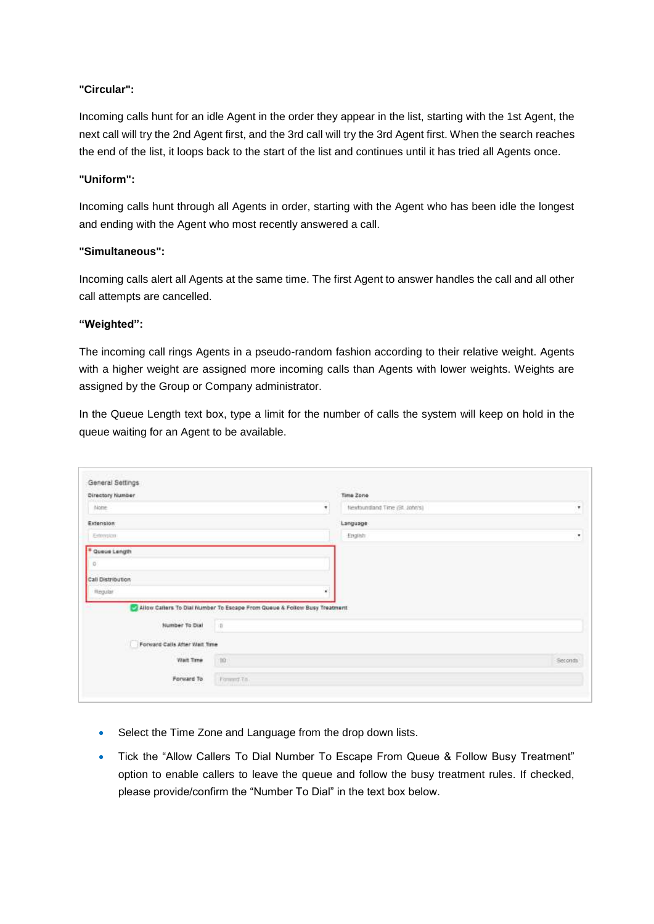#### **"Circular":**

Incoming calls hunt for an idle Agent in the order they appear in the list, starting with the 1st Agent, the next call will try the 2nd Agent first, and the 3rd call will try the 3rd Agent first. When the search reaches the end of the list, it loops back to the start of the list and continues until it has tried all Agents once.

#### **"Uniform":**

Incoming calls hunt through all Agents in order, starting with the Agent who has been idle the longest and ending with the Agent who most recently answered a call.

#### **"Simultaneous":**

Incoming calls alert all Agents at the same time. The first Agent to answer handles the call and all other call attempts are cancelled.

#### **"Weighted":**

The incoming call rings Agents in a pseudo-random fashion according to their relative weight. Agents with a higher weight are assigned more incoming calls than Agents with lower weights. Weights are assigned by the Group or Company administrator.

In the Queue Length text box, type a limit for the number of calls the system will keep on hold in the queue waiting for an Agent to be available.

| General Settings              |                                                                           |                                |         |
|-------------------------------|---------------------------------------------------------------------------|--------------------------------|---------|
| Directory Number              |                                                                           | Time Zone                      |         |
| Nome                          | ٠                                                                         | Newtoundland Time (St. John's) | ٠       |
| Extension                     |                                                                           | Language                       |         |
| Estemann                      |                                                                           | English                        | ٠       |
| * Queue Length                |                                                                           |                                |         |
| o.                            |                                                                           |                                |         |
| Call Distribution             |                                                                           |                                |         |
| Regular                       | ×                                                                         |                                |         |
|                               | Allow Callers To Dial Number To Escape From Queue & Follow Busy Treatment |                                |         |
| Number To Dial                | $\eta$                                                                    |                                |         |
| Forward Calls After Walt Time |                                                                           |                                |         |
| Wait Time                     | 1200                                                                      |                                | Seconds |
|                               |                                                                           |                                |         |

- Select the Time Zone and Language from the drop down lists.
- Tick the "Allow Callers To Dial Number To Escape From Queue & Follow Busy Treatment" option to enable callers to leave the queue and follow the busy treatment rules. If checked, please provide/confirm the "Number To Dial" in the text box below.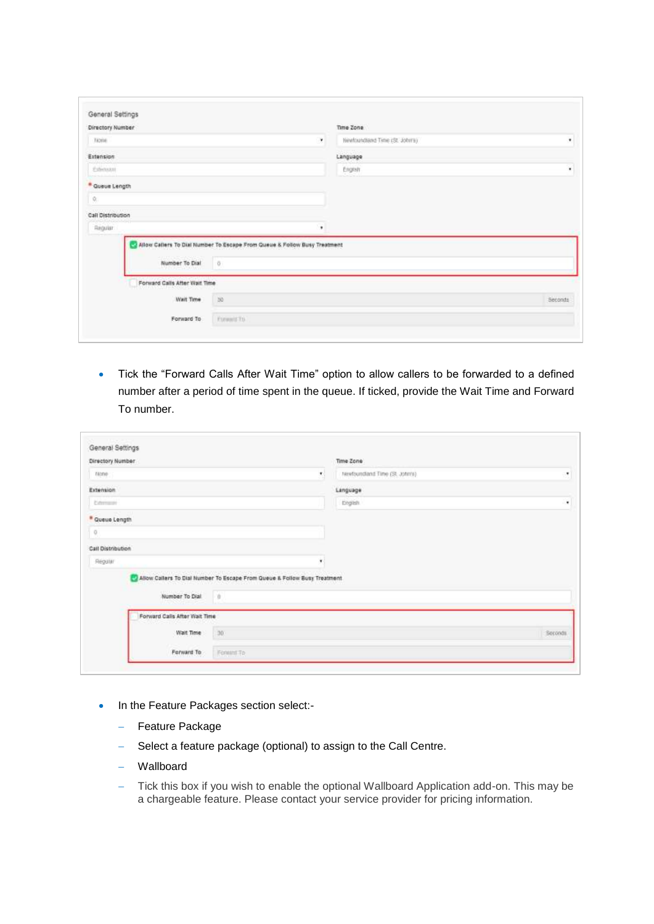| Directory Number  |              |                                                                |                                                                           |
|-------------------|--------------|----------------------------------------------------------------|---------------------------------------------------------------------------|
|                   |              | Time Zone                                                      |                                                                           |
|                   | $\mathbf{v}$ | Newtoundland Time (St. John's)                                 | ٠                                                                         |
|                   |              | Language                                                       |                                                                           |
|                   |              | Engestr                                                        | ٠                                                                         |
| * Queue Length    |              |                                                                |                                                                           |
|                   |              |                                                                |                                                                           |
|                   |              |                                                                |                                                                           |
| Call Distribution |              |                                                                |                                                                           |
|                   |              |                                                                |                                                                           |
|                   |              |                                                                |                                                                           |
|                   |              |                                                                |                                                                           |
|                   |              |                                                                |                                                                           |
|                   |              |                                                                |                                                                           |
| Wait Time         | 30           |                                                                | Seconds                                                                   |
|                   |              |                                                                |                                                                           |
|                   |              | $\bullet$<br>Number To Dial 0<br>Forward Calls Atter Wait Time | Allow Callers To Dial Number To Escape From Queue & Follow Busy Treatment |

 Tick the "Forward Calls After Wait Time" option to allow callers to be forwarded to a defined number after a period of time spent in the queue. If ticked, provide the Wait Time and Forward To number.

| Directory Number              |                                                                             | Time Zone                       |         |
|-------------------------------|-----------------------------------------------------------------------------|---------------------------------|---------|
| None                          | 회                                                                           | Newfoundland Time (SR, John's). | ž.      |
| Extension                     |                                                                             | Language                        |         |
| <b>Citerranei</b>             |                                                                             | English                         | $\star$ |
| * Queue Length                |                                                                             |                                 |         |
| $\overline{Q}$                |                                                                             |                                 |         |
| Call Distribution             |                                                                             |                                 |         |
| Régular                       | ۰                                                                           |                                 |         |
|                               | 2 Allow Callers To Dial Number To Escape From Queue & Follow Busy Treatment |                                 |         |
| Number To Dial                | $-0$                                                                        |                                 |         |
| Forward Calis After Walt Time |                                                                             |                                 |         |
| Wait Time                     | 30 <sub>1</sub>                                                             |                                 | Seconds |
|                               |                                                                             |                                 |         |

- In the Feature Packages section select:-
	- Feature Package
	- Select a feature package (optional) to assign to the Call Centre.
	- Wallboard
	- Tick this box if you wish to enable the optional Wallboard Application add-on. This may be a chargeable feature. Please contact your service provider for pricing information.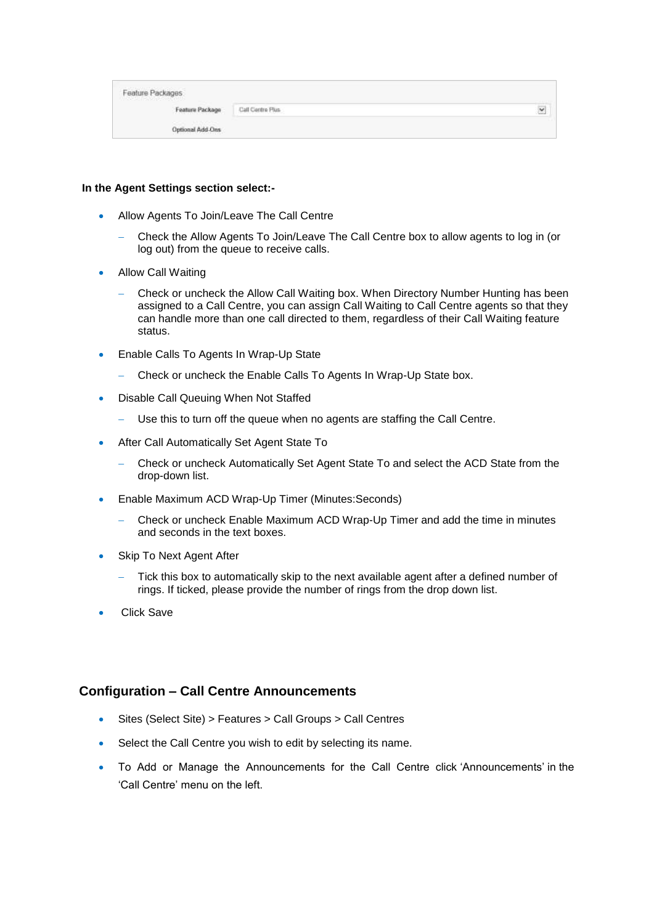| Feature Packages |                  |                  |
|------------------|------------------|------------------|
| Feature Package  | Call Contre Plus | $1 - 1 - 1$<br>× |
| Optional Add-Ons |                  |                  |

#### **In the Agent Settings section select:-**

- Allow Agents To Join/Leave The Call Centre
	- Check the Allow Agents To Join/Leave The Call Centre box to allow agents to log in (or log out) from the queue to receive calls.
- Allow Call Waiting
	- Check or uncheck the Allow Call Waiting box. When Directory Number Hunting has been assigned to a Call Centre, you can assign Call Waiting to Call Centre agents so that they can handle more than one call directed to them, regardless of their Call Waiting feature status.
- **Enable Calls To Agents In Wrap-Up State** 
	- Check or uncheck the Enable Calls To Agents In Wrap-Up State box.
- Disable Call Queuing When Not Staffed
	- Use this to turn off the queue when no agents are staffing the Call Centre.
- After Call Automatically Set Agent State To
	- Check or uncheck Automatically Set Agent State To and select the ACD State from the drop-down list.
- Enable Maximum ACD Wrap-Up Timer (Minutes:Seconds)
	- Check or uncheck Enable Maximum ACD Wrap-Up Timer and add the time in minutes and seconds in the text boxes.
- Skip To Next Agent After
	- Tick this box to automatically skip to the next available agent after a defined number of rings. If ticked, please provide the number of rings from the drop down list.
- Click Save

#### **Configuration – Call Centre Announcements**

- Sites (Select Site) > Features > Call Groups > Call Centres
- Select the Call Centre you wish to edit by selecting its name.
- To Add or Manage the Announcements for the Call Centre click 'Announcements' in the 'Call Centre' menu on the left.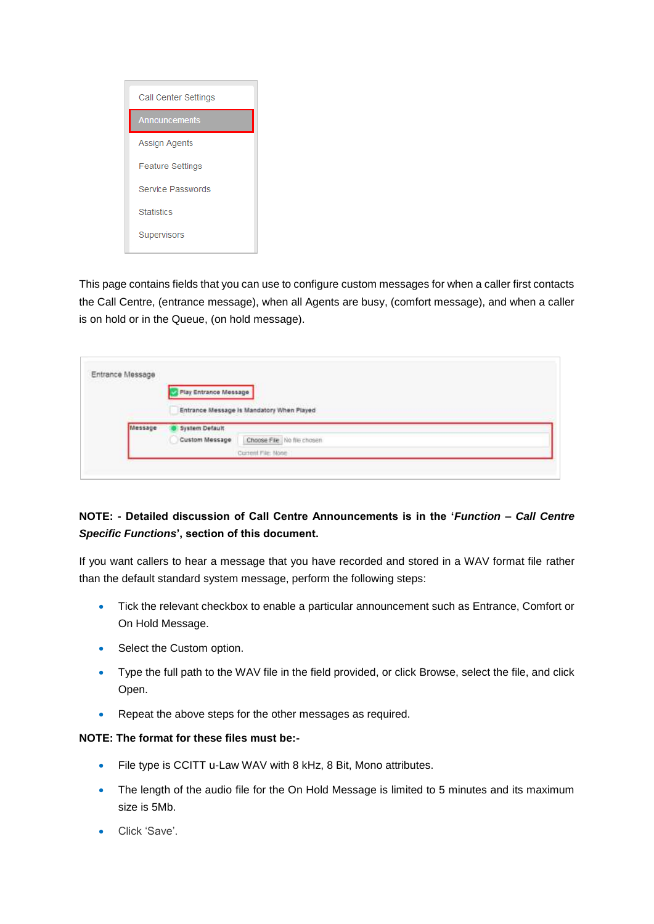

This page contains fields that you can use to configure custom messages for when a caller first contacts the Call Centre, (entrance message), when all Agents are busy, (comfort message), and when a caller is on hold or in the Queue, (on hold message).

| Entrance Message |                              |                                           |  |
|------------------|------------------------------|-------------------------------------------|--|
|                  |                              |                                           |  |
|                  | <b>Play Entrance Message</b> |                                           |  |
|                  |                              |                                           |  |
|                  |                              | Entrance Message Is Mandatory When Played |  |
| Message          | System Default               |                                           |  |
|                  | Custom Message               | Choose File   No flie chosen              |  |
|                  |                              |                                           |  |
|                  |                              | Current File: None                        |  |

### **NOTE: - Detailed discussion of Call Centre Announcements is in the '***Function – Call Centre Specific Functions***', section of this document.**

If you want callers to hear a message that you have recorded and stored in a WAV format file rather than the default standard system message, perform the following steps:

- Tick the relevant checkbox to enable a particular announcement such as Entrance, Comfort or On Hold Message.
- Select the Custom option.
- Type the full path to the WAV file in the field provided, or click Browse, select the file, and click Open.
- Repeat the above steps for the other messages as required.

#### **NOTE: The format for these files must be:-**

- File type is CCITT u-Law WAV with 8 kHz, 8 Bit, Mono attributes.
- The length of the audio file for the On Hold Message is limited to 5 minutes and its maximum size is 5Mb.
- Click 'Save'.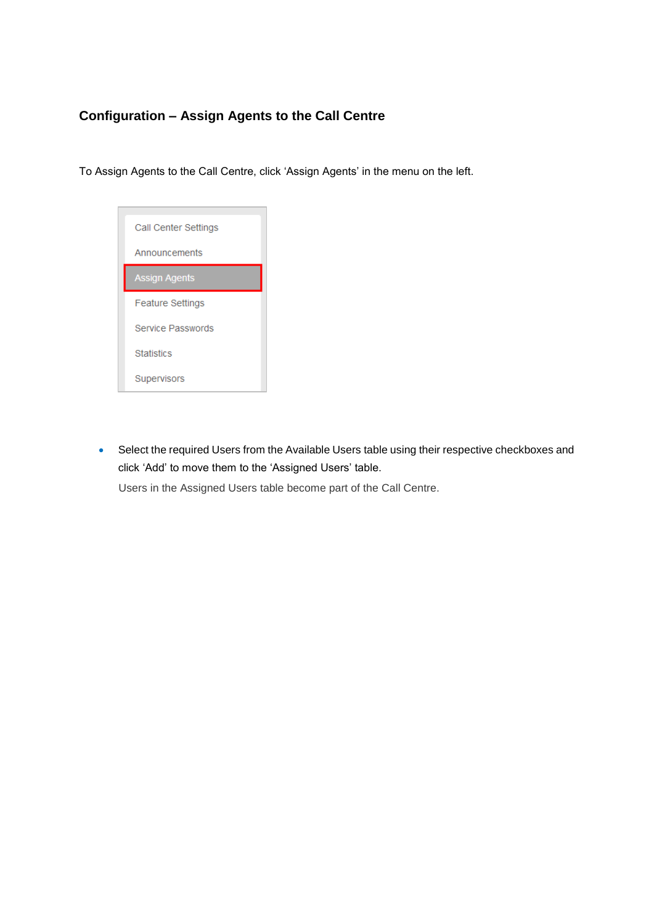# **Configuration – Assign Agents to the Call Centre**

To Assign Agents to the Call Centre, click 'Assign Agents' in the menu on the left.



• Select the required Users from the Available Users table using their respective checkboxes and click 'Add' to move them to the 'Assigned Users' table.

Users in the Assigned Users table become part of the Call Centre.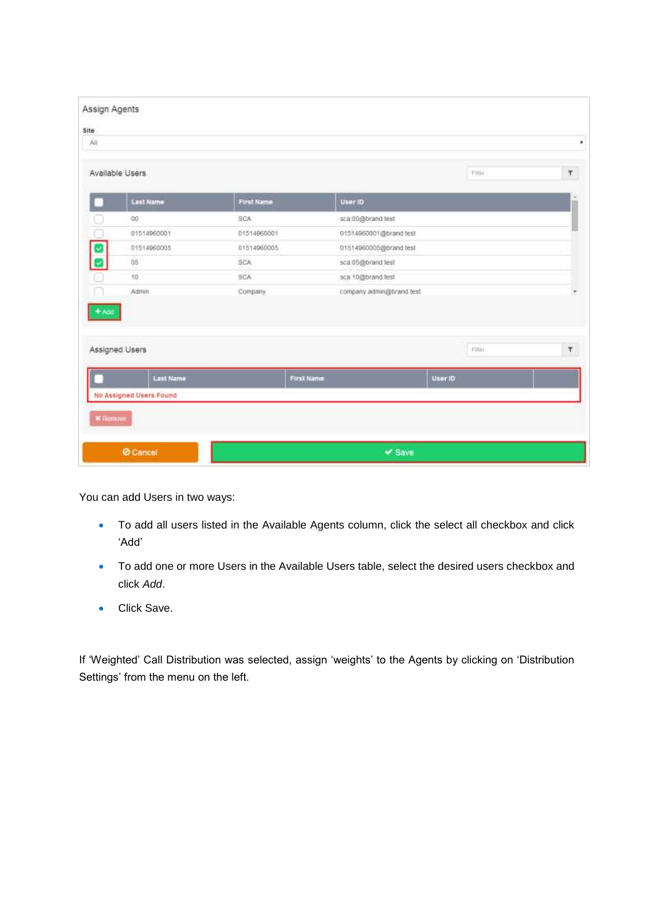| All     |                         |                   |                          |         |                   |
|---------|-------------------------|-------------------|--------------------------|---------|-------------------|
|         | Available Users         |                   |                          | Fitar   | $\overline{\chi}$ |
|         | <b>East Name</b>        | <b>First Name</b> | <b>User ID</b>           |         |                   |
|         | 00                      | SCA               | sca 00@brand.test        |         |                   |
|         | 01514960001             | 01514960001       | 01514960001@brand.test   |         |                   |
| U       | 01514960005             | 01514960005       | 01514960005@brand.test   |         |                   |
|         | 05                      | SCA               | sca 05@brand test        |         |                   |
|         | 10                      | SCA               | sca 10@brand.fest        |         |                   |
| $+ A d$ | Admin                   | Company           | company.admin@brand.test |         |                   |
|         | Assigned Users          |                   |                          | Filter  | $\tau$            |
|         | <b>Last Name</b>        | First Name        |                          | User ID |                   |
|         | No Assigned Users Found |                   |                          |         |                   |

You can add Users in two ways:

- To add all users listed in the Available Agents column, click the select all checkbox and click 'Add'
- To add one or more Users in the Available Users table, select the desired users checkbox and click *Add*.
- **Click Save.**

If 'Weighted' Call Distribution was selected, assign 'weights' to the Agents by clicking on 'Distribution Settings' from the menu on the left.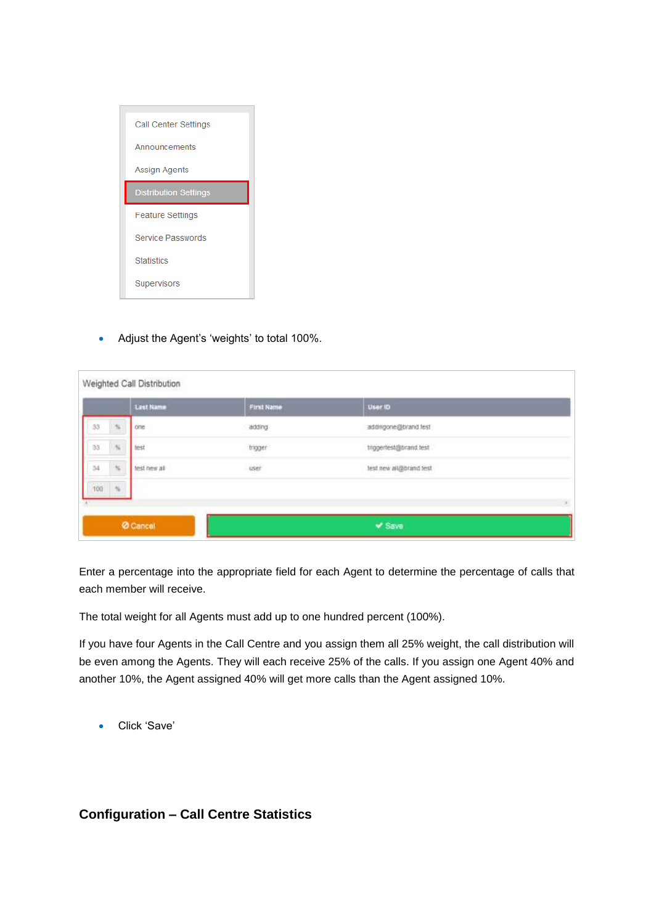

• Adjust the Agent's 'weights' to total 100%.

|     |                          | Weighted Call Distribution |                   |                         |  |
|-----|--------------------------|----------------------------|-------------------|-------------------------|--|
|     |                          | <b>Last Name</b>           | <b>First Name</b> | User ID                 |  |
| 33  | $\sim 10^{-1}$           | one                        | adding            | addingone@brand.lest    |  |
| 33. | $\mathcal{H}_1$          | test                       | trigger.          | triggertest@brand.test  |  |
| 34  | $\infty$                 | test new all               | iser              | test new ali@brand test |  |
| 100 | $\overline{\phantom{a}}$ |                            |                   |                         |  |
|     |                          |                            |                   |                         |  |
|     |                          | <b>Ø</b> Cancel            |                   | $V$ Save                |  |

Enter a percentage into the appropriate field for each Agent to determine the percentage of calls that each member will receive.

The total weight for all Agents must add up to one hundred percent (100%).

If you have four Agents in the Call Centre and you assign them all 25% weight, the call distribution will be even among the Agents. They will each receive 25% of the calls. If you assign one Agent 40% and another 10%, the Agent assigned 40% will get more calls than the Agent assigned 10%.

Click 'Save'

#### **Configuration – Call Centre Statistics**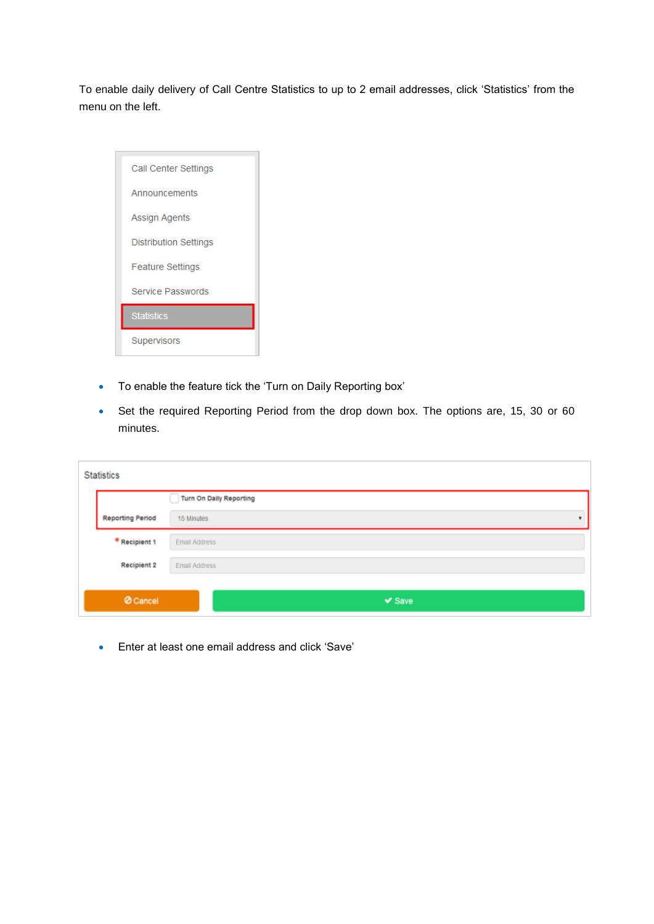To enable daily delivery of Call Centre Statistics to up to 2 email addresses, click 'Statistics' from the menu on the left.

| Call Center Settings     |
|--------------------------|
| Announcements            |
| Assign Agents            |
| Distribution Settings    |
| <b>Feature Settings</b>  |
| <b>Service Passwords</b> |
| <b>Statistics</b>        |
| Supervisors              |

- To enable the feature tick the 'Turn on Daily Reporting box'
- Set the required Reporting Period from the drop down box. The options are, 15, 30 or 60 minutes.

| <b>Statistics</b>       |                         |  |  |  |  |  |  |
|-------------------------|-------------------------|--|--|--|--|--|--|
|                         | Turn On Daily Reporting |  |  |  |  |  |  |
| <b>Reporting Period</b> | 15 Minutes              |  |  |  |  |  |  |
| * Recipient 1           | Email Address           |  |  |  |  |  |  |
| <b>Recipient 2</b>      | Email Address           |  |  |  |  |  |  |
| <b>Ø</b> Cancel         | $\vee$ Save             |  |  |  |  |  |  |

Enter at least one email address and click 'Save'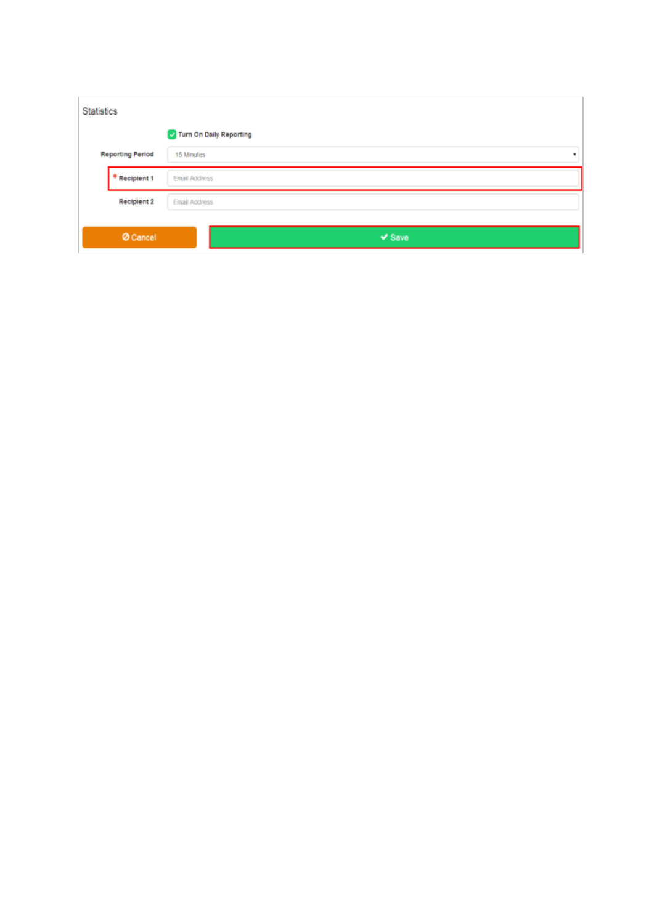|                         | <b>Statistics</b>       |               |  |  |  |  |
|-------------------------|-------------------------|---------------|--|--|--|--|
|                         | Turn On Daily Reporting |               |  |  |  |  |
| <b>Reporting Period</b> |                         | 15 Minutes    |  |  |  |  |
|                         | Recipient 1             | Email Address |  |  |  |  |
|                         | Recipient 2             | Email Address |  |  |  |  |
|                         | <b>Ø</b> Cancel         | $\vee$ Save   |  |  |  |  |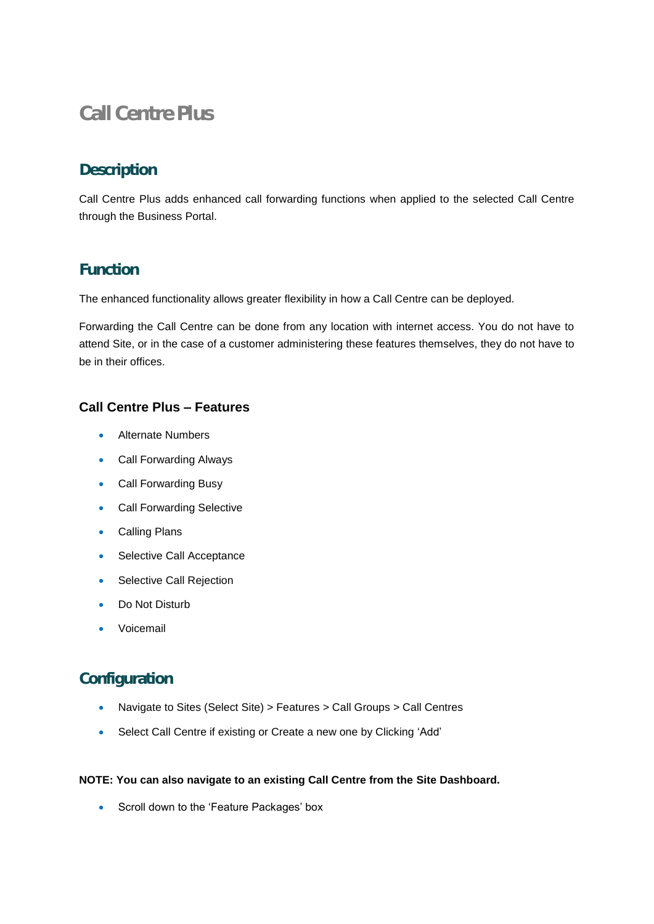# **Call Centre Plus**

# **Description**

Call Centre Plus adds enhanced call forwarding functions when applied to the selected Call Centre through the Business Portal.

# **Function**

The enhanced functionality allows greater flexibility in how a Call Centre can be deployed.

Forwarding the Call Centre can be done from any location with internet access. You do not have to attend Site, or in the case of a customer administering these features themselves, they do not have to be in their offices.

# **Call Centre Plus – Features**

- Alternate Numbers
- Call Forwarding Always
- Call Forwarding Busy
- Call Forwarding Selective
- Calling Plans
- Selective Call Acceptance
- Selective Call Rejection
- Do Not Disturb
- Voicemail

# **Configuration**

- Navigate to Sites (Select Site) > Features > Call Groups > Call Centres
- Select Call Centre if existing or Create a new one by Clicking 'Add'

#### **NOTE: You can also navigate to an existing Call Centre from the Site Dashboard.**

• Scroll down to the 'Feature Packages' box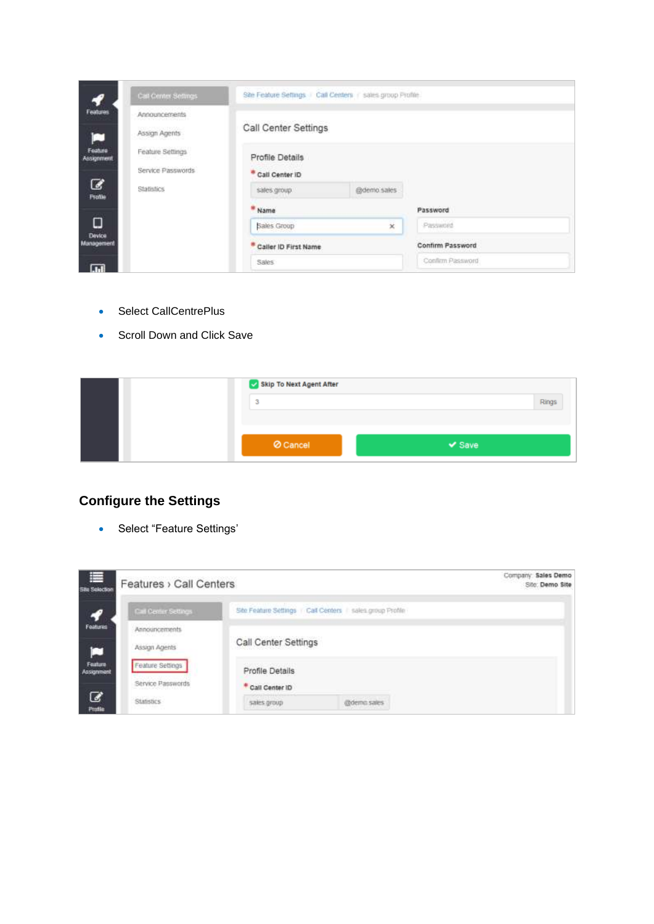| 57                                | Call Center Settings                  | Site Feature Settings Call Centers in sales group Profile. |             |                  |  |
|-----------------------------------|---------------------------------------|------------------------------------------------------------|-------------|------------------|--|
| Features.<br>□                    | Announcements<br>Assign Agents        | Call Center Settings                                       |             |                  |  |
| Feature<br><b>Assignment</b><br>B | Feature Settings<br>Service Passwords | Profile Details<br>Call Center ID                          |             |                  |  |
| <b>Frofile</b>                    | Statistics                            | sales group                                                | @demo.sales |                  |  |
|                                   |                                       | * Name                                                     |             | Password         |  |
| о<br><b>Device</b>                |                                       | Sales Group                                                | $\infty$    | Password         |  |
| Management                        |                                       | * Caller ID First Name                                     |             | Confirm Password |  |
| 扁                                 |                                       | Sales:                                                     |             | Confirm Password |  |

- Select CallCentrePlus
- Scroll Down and Click Save

| Skip To Next Agent After |             |       |
|--------------------------|-------------|-------|
| ÷,<br>٠u                 |             | Rings |
|                          |             |       |
| O Cancel                 | $\vee$ Save |       |
|                          |             |       |

# **Configure the Settings**

• Select "Feature Settings'

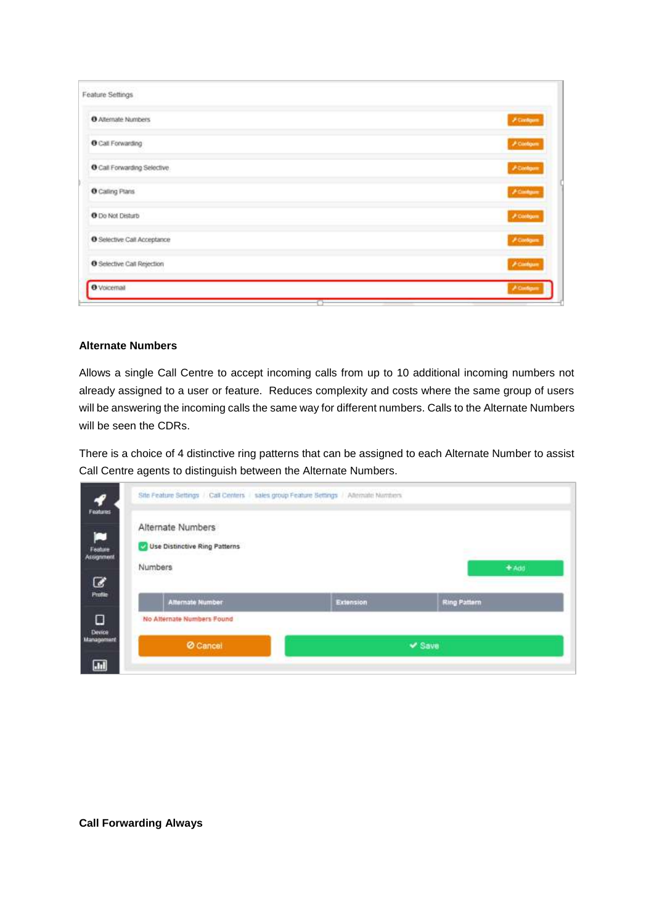| Feature Settings                   |                         |
|------------------------------------|-------------------------|
| O Attemate Numbers                 | $\beta$ Contigues       |
| <b>O</b> Call Forwarding           | <b>A Contigue</b>       |
| O Call Forwarding Selective        | Acodom                  |
| O Caling Plans                     | <b>Atintum</b>          |
| O Do Not Disturb                   | $P$ Contiguis           |
| <b>O</b> Selective Call Acceptance | $P$ Configure           |
| <b>O</b> Selective Call Rejection  | <b><i>A Company</i></b> |
| <b>O</b> Voicemail                 | A Contig                |

#### **Alternate Numbers**

Allows a single Call Centre to accept incoming calls from up to 10 additional incoming numbers not already assigned to a user or feature. Reduces complexity and costs where the same group of users will be answering the incoming calls the same way for different numbers. Calls to the Alternate Numbers will be seen the CDRs.

There is a choice of 4 distinctive ring patterns that can be assigned to each Alternate Number to assist Call Centre agents to distinguish between the Alternate Numbers.

| No Alternate Numbers Found    |           |                     |
|-------------------------------|-----------|---------------------|
|                               |           |                     |
| <b>Alternate Number</b>       | Extension | <b>Ring Pattern</b> |
| Numbers                       |           | $+ A00$             |
| Use Distinctive Ring Patterns |           |                     |
| Alternate Numbers             |           |                     |
|                               |           |                     |

**Call Forwarding Always**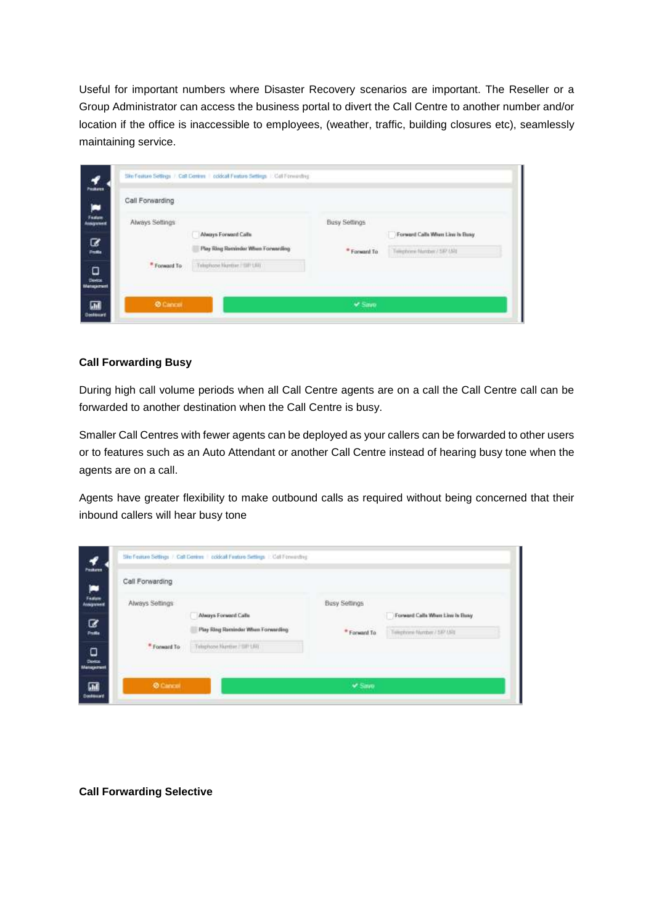Useful for important numbers where Disaster Recovery scenarios are important. The Reseller or a Group Administrator can access the business portal to divert the Call Centre to another number and/or location if the office is inaccessible to employees, (weather, traffic, building closures etc), seamlessly maintaining service.

| Peakers                                           |                 | Ste Feature Settings / Call Centres   coldcall Feature Settings   Call Ferminiting |                            |                                                                 |
|---------------------------------------------------|-----------------|------------------------------------------------------------------------------------|----------------------------|-----------------------------------------------------------------|
| œ                                                 | Call Forwarding |                                                                                    |                            |                                                                 |
| Feature<br>Assignment                             | Always Settings |                                                                                    | <b>Busy Settings</b>       |                                                                 |
| B<br><b>Profile</b>                               |                 | Always Forward Calls<br>Play Ring Reminder When Forwarding                         | * Forward To<br>1016061101 | Forward Calls When Line is Busy.<br>Telephone Nordon / 547 US\$ |
| $\begin{array}{c} \square \\ \square \end{array}$ | * Forward To    | Telephone Number / SIP LRT                                                         |                            |                                                                 |
| 匾<br>Destinant                                    | <b>O</b> Cancor |                                                                                    | ₩ Smro                     |                                                                 |

#### **Call Forwarding Busy**

During high call volume periods when all Call Centre agents are on a call the Call Centre call can be forwarded to another destination when the Call Centre is busy.

Smaller Call Centres with fewer agents can be deployed as your callers can be forwarded to other users or to features such as an Auto Attendant or another Call Centre instead of hearing busy tone when the agents are on a call.

Agents have greater flexibility to make outbound calls as required without being concerned that their inbound callers will hear busy tone

| <b>Peakers</b>                                                      |                         | 59n Feature Settings / Call Centres   coldcall Feature Settings   Call Fermanting |                          |                                 |
|---------------------------------------------------------------------|-------------------------|-----------------------------------------------------------------------------------|--------------------------|---------------------------------|
| نعز                                                                 | Call Forwarding         |                                                                                   |                          |                                 |
| Feature<br>Assignment<br>C                                          | Always Settings         | Always Forward Calls                                                              | Busy Settings            | Forward Calls When Line is Busy |
| <b>Profile</b><br>$\begin{array}{c} \square \\ \square \end{array}$ | <sup>*</sup> Forward To | Play Ring Reminder When Forwarding<br>Telephone Number / SIP URIT                 | * Forward To<br>1916 S.H | Telephone Wordser / SAV USN     |
| 匾<br>Destinant                                                      | <b>O</b> Cancot         |                                                                                   | ₩ Save                   |                                 |

**Call Forwarding Selective**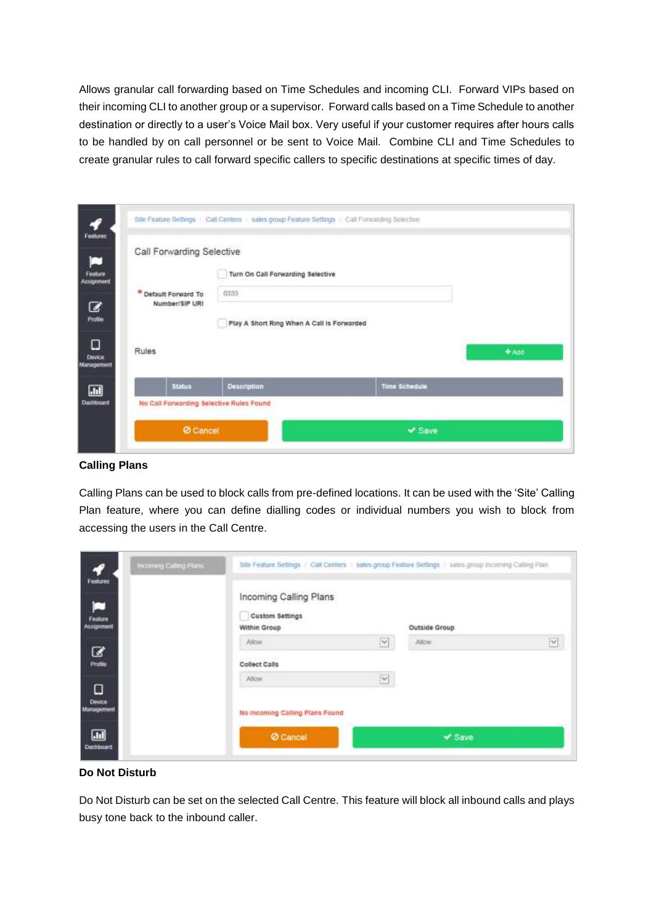Allows granular call forwarding based on Time Schedules and incoming CLI. Forward VIPs based on their incoming CLI to another group or a supervisor. Forward calls based on a Time Schedule to another destination or directly to a user's Voice Mail box. Very useful if your customer requires after hours calls to be handled by on call personnel or be sent to Voice Mail. Combine CLI and Time Schedules to create granular rules to call forward specific callers to specific destinations at specific times of day.

|                                        | Call Forwarding Selective                  |               |       |  |  |
|----------------------------------------|--------------------------------------------|---------------|-------|--|--|
|                                        | Turn On Call Forwarding Selective          |               |       |  |  |
| * Default Forward To<br>Number/SIP URI | 0333                                       |               |       |  |  |
|                                        | Play A Short Ring When A Call is Forwarded |               |       |  |  |
| Rules                                  |                                            |               | + Add |  |  |
|                                        | <b>Description</b>                         | Time Schedule |       |  |  |
| <b>Status</b>                          |                                            |               |       |  |  |

#### **Calling Plans**

Calling Plans can be used to block calls from pre-defined locations. It can be used with the 'Site' Calling Plan feature, where you can define dialling codes or individual numbers you wish to block from accessing the users in the Call Centre.

| ץ<br>Features                            | Incoming Calling Plans | Site Feature Settings / Call Centers / sales group Feature Settings / sales group Incoming Calling Plan |                         |               |                    |
|------------------------------------------|------------------------|---------------------------------------------------------------------------------------------------------|-------------------------|---------------|--------------------|
| ◘<br><b>Feature</b><br><b>Assignment</b> |                        | Incoming Calling Plans<br><b>Custom Settings</b><br>Within Group                                        |                         | Outside Group |                    |
| C                                        |                        | Allow                                                                                                   | $\overline{\mathsf{v}}$ | Atlow         | $\vert \vee \vert$ |
| Profile                                  |                        | Massachuset (1999)<br><b>Collect Calls</b>                                                              |                         |               |                    |
| ο<br>Device<br>Management                |                        | Alkw<br>No Incoming Calling Plans Found                                                                 | $\overline{\mathbf{Y}}$ |               |                    |
| $\blacksquare$<br><b>Dashboard</b>       |                        | Cancel                                                                                                  |                         | $V$ Save      |                    |

#### **Do Not Disturb**

Do Not Disturb can be set on the selected Call Centre. This feature will block all inbound calls and plays busy tone back to the inbound caller.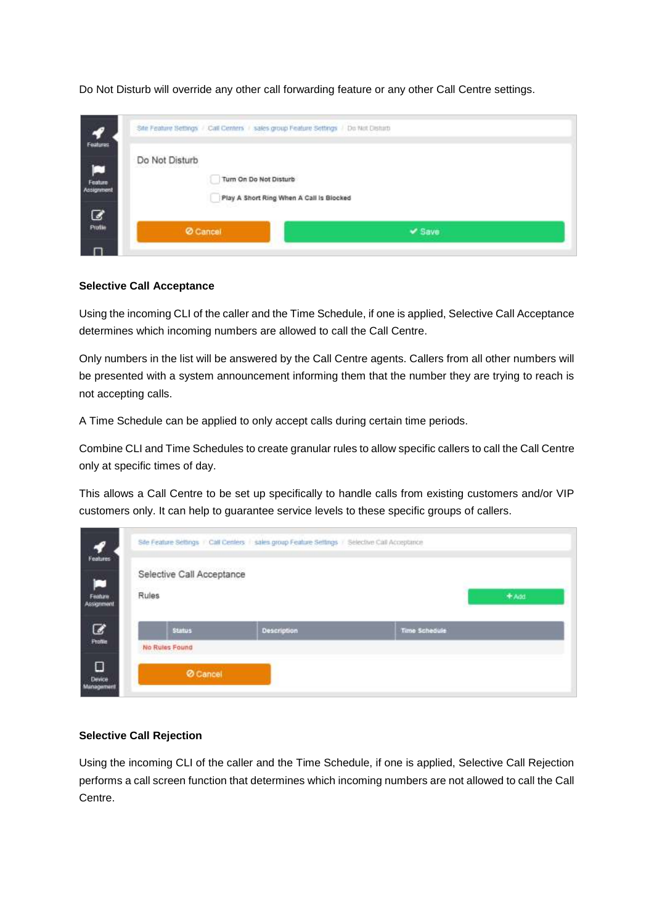| 57                                                  | Site Feature Settings / Call Centers / sales group Feature Settings / Do Not Disturb |             |
|-----------------------------------------------------|--------------------------------------------------------------------------------------|-------------|
| Features<br>$\blacksquare$<br>Feature<br>Assignment | Do Not Disturb<br>Turn On Do Not Disturb                                             |             |
| $\overline{\mathcal{Q}}$                            | Play A Short Ring When A Call is Biocked<br>Cancel                                   | $\vee$ Save |
|                                                     |                                                                                      |             |

Do Not Disturb will override any other call forwarding feature or any other Call Centre settings.

#### **Selective Call Acceptance**

Using the incoming CLI of the caller and the Time Schedule, if one is applied, Selective Call Acceptance determines which incoming numbers are allowed to call the Call Centre.

Only numbers in the list will be answered by the Call Centre agents. Callers from all other numbers will be presented with a system announcement informing them that the number they are trying to reach is not accepting calls.

A Time Schedule can be applied to only accept calls during certain time periods.

Combine CLI and Time Schedules to create granular rules to allow specific callers to call the Call Centre only at specific times of day.

This allows a Call Centre to be set up specifically to handle calls from existing customers and/or VIP customers only. It can help to guarantee service levels to these specific groups of callers.

| 57<br>Features              |                                             | Site Feature Settings : Call Centers : sales group Feature Settings | Selective Call Acceptance |  |  |  |  |
|-----------------------------|---------------------------------------------|---------------------------------------------------------------------|---------------------------|--|--|--|--|
| P<br>Feature:<br>Assignment | Selective Call Acceptance<br>Rules<br>+ Add |                                                                     |                           |  |  |  |  |
| C<br>Profile                | <b>Status</b><br>No Rules Found             | <b>Description</b>                                                  | Time Schedule             |  |  |  |  |
| Ο<br>Device<br>Management   | <b>Ø</b> Cancel                             |                                                                     |                           |  |  |  |  |

#### **Selective Call Rejection**

Using the incoming CLI of the caller and the Time Schedule, if one is applied, Selective Call Rejection performs a call screen function that determines which incoming numbers are not allowed to call the Call Centre.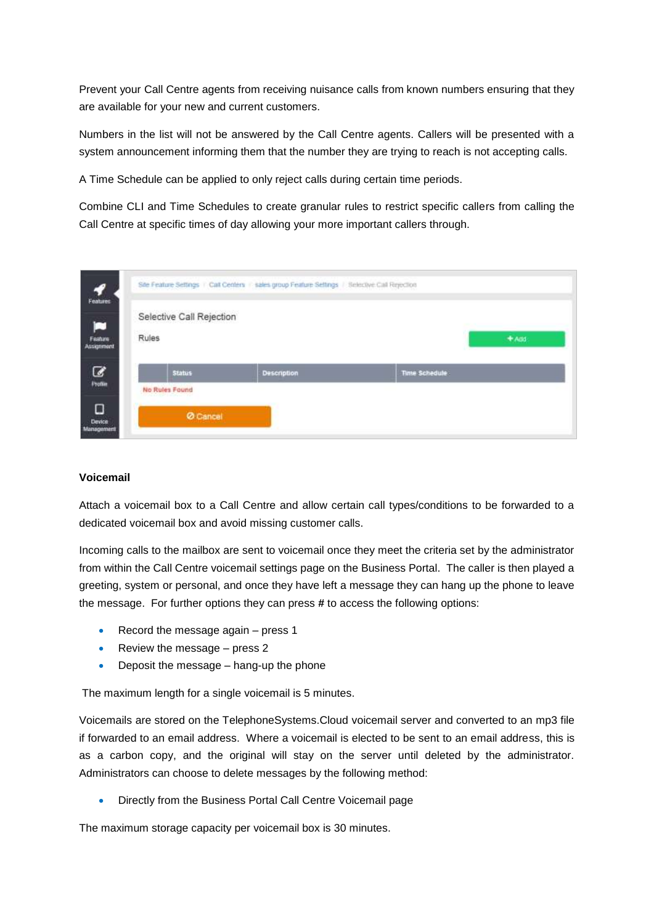Prevent your Call Centre agents from receiving nuisance calls from known numbers ensuring that they are available for your new and current customers.

Numbers in the list will not be answered by the Call Centre agents. Callers will be presented with a system announcement informing them that the number they are trying to reach is not accepting calls.

A Time Schedule can be applied to only reject calls during certain time periods.

Combine CLI and Time Schedules to create granular rules to restrict specific callers from calling the Call Centre at specific times of day allowing your more important callers through.

| 57                                     | Site Feature Settings : Call Centers : sales group Feature Settings / Selective Call Rejection |                    |                      |         |  |
|----------------------------------------|------------------------------------------------------------------------------------------------|--------------------|----------------------|---------|--|
| Features<br>p<br>Fashire<br>Assignment | Selective Call Rejection<br>Rules                                                              |                    |                      | $+$ Add |  |
| ☞<br>Profile                           | <b>Status</b>                                                                                  | <b>Description</b> | <b>Time Schedule</b> |         |  |
| О<br>Device:<br>Management             | No Rules Found<br><b>Ø</b> Cancel                                                              |                    |                      |         |  |

#### **Voicemail**

Attach a voicemail box to a Call Centre and allow certain call types/conditions to be forwarded to a dedicated voicemail box and avoid missing customer calls.

Incoming calls to the mailbox are sent to voicemail once they meet the criteria set by the administrator from within the Call Centre voicemail settings page on the Business Portal. The caller is then played a greeting, system or personal, and once they have left a message they can hang up the phone to leave the message. For further options they can press **#** to access the following options:

- Record the message again  $-$  press 1
- Review the message press  $2$
- Deposit the message hang-up the phone

The maximum length for a single voicemail is 5 minutes.

Voicemails are stored on the TelephoneSystems.Cloud voicemail server and converted to an mp3 file if forwarded to an email address. Where a voicemail is elected to be sent to an email address, this is as a carbon copy, and the original will stay on the server until deleted by the administrator. Administrators can choose to delete messages by the following method:

• Directly from the Business Portal Call Centre Voicemail page

The maximum storage capacity per voicemail box is 30 minutes.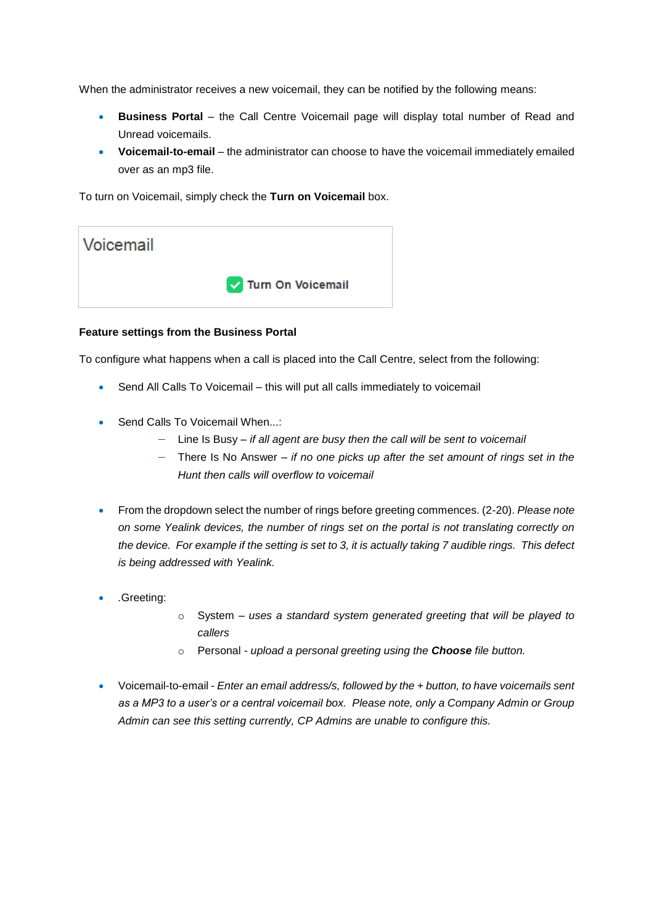When the administrator receives a new voicemail, they can be notified by the following means:

- **Business Portal**  the Call Centre Voicemail page will display total number of Read and Unread voicemails.
- **Voicemail-to-email**  the administrator can choose to have the voicemail immediately emailed over as an mp3 file.

To turn on Voicemail, simply check the **Turn on Voicemail** box.



#### **Feature settings from the Business Portal**

To configure what happens when a call is placed into the Call Centre, select from the following:

- Send All Calls To Voicemail this will put all calls immediately to voicemail
- Send Calls To Voicemail When...:
	- Line Is Busy *if all agent are busy then the call will be sent to voicemail*
	- There Is No Answer *if no one picks up after the set amount of rings set in the Hunt then calls will overflow to voicemail*
- From the dropdown select the number of rings before greeting commences. (2-20). *Please note on some Yealink devices, the number of rings set on the portal is not translating correctly on the device. For example if the setting is set to 3, it is actually taking 7 audible rings. This defect is being addressed with Yealink.*
- *.*Greeting:
- o System *uses a standard system generated greeting that will be played to callers*
- o Personal *- upload a personal greeting using the Choose file button.*
- Voicemail-to-email *Enter an email address/s, followed by the + button, to have voicemails sent as a MP3 to a user's or a central voicemail box. Please note, only a Company Admin or Group Admin can see this setting currently, CP Admins are unable to configure this.*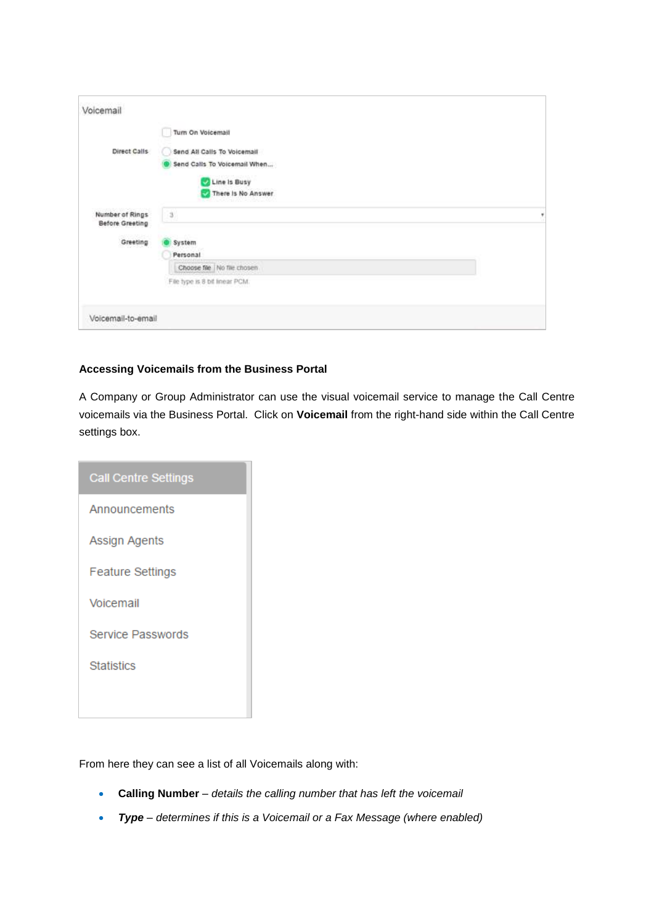| Voicemail                          |                                                                                                   |  |
|------------------------------------|---------------------------------------------------------------------------------------------------|--|
|                                    | Turn On Voicemail                                                                                 |  |
| Direct Calls                       | Send All Calls To Voicemail<br>Send Calls To Voicemail When<br>Line Is Busy<br>There Is No Answer |  |
| Number of Rings<br>Before Greeting | $\,$ $\,$ $\,$                                                                                    |  |
| Greeting                           | System<br>Personal                                                                                |  |
|                                    | Choose file   No file chosen<br>File type is 8 bit linear PCM.                                    |  |
| Voicemail-to-email                 |                                                                                                   |  |

#### **Accessing Voicemails from the Business Portal**

A Company or Group Administrator can use the visual voicemail service to manage the Call Centre voicemails via the Business Portal. Click on **Voicemail** from the right-hand side within the Call Centre settings box.

| <b>Call Centre Settings</b> |
|-----------------------------|
| Announcements               |
| Assign Agents               |
| <b>Feature Settings</b>     |
| Voicemail                   |
| Service Passwords           |
| <b>Statistics</b>           |
|                             |

From here they can see a list of all Voicemails along with:

- **Calling Number** *details the calling number that has left the voicemail*
- *Type – determines if this is a Voicemail or a Fax Message (where enabled)*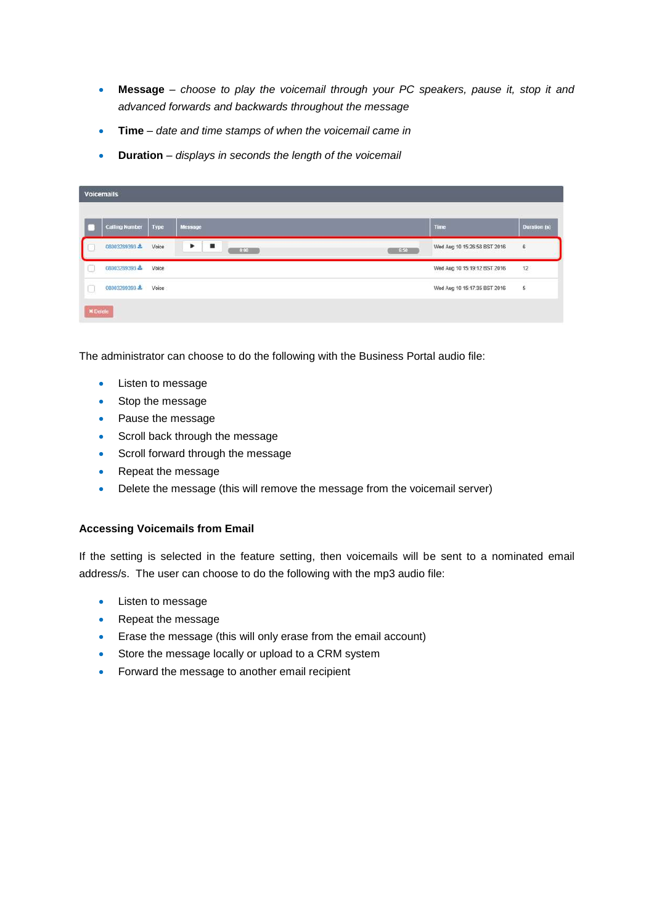- **Message** *choose to play the voicemail through your PC speakers, pause it, stop it and advanced forwards and backwards throughout the message*
- **Time** *date and time stamps of when the voicemail came in*
- **Duration** *displays in seconds the length of the voicemail*

|                 | <b>Voicemails</b>     |              |                        |                                                       |                         |
|-----------------|-----------------------|--------------|------------------------|-------------------------------------------------------|-------------------------|
|                 |                       |              |                        |                                                       |                         |
|                 | <b>Calling Number</b> | Type         | Message                | Time                                                  | <b>Duration</b> (s)     |
|                 | 08003289393 上         | Voice        | п<br>٠<br>0:00<br>6.50 | Wed Aug 10 15:26:58 BST 2016                          | 6                       |
| u               | 08003289393           | Voice<br>--- |                        | Wed Aug 10 15:19:12 BST 2016                          | 12                      |
| u               | 08003289393 ±         | Voice        |                        | しょうひょう ひょうひょうひん ふうきょう<br>Wed Aug 10 15:17:35 BST 2016 | $\overline{\mathbf{5}}$ |
| <b>× Delete</b> |                       |              |                        |                                                       |                         |

The administrator can choose to do the following with the Business Portal audio file:

- Listen to message
- Stop the message
- Pause the message
- Scroll back through the message
- Scroll forward through the message
- Repeat the message
- Delete the message (this will remove the message from the voicemail server)

#### **Accessing Voicemails from Email**

If the setting is selected in the feature setting, then voicemails will be sent to a nominated email address/s. The user can choose to do the following with the mp3 audio file:

- Listen to message
- Repeat the message
- Erase the message (this will only erase from the email account)
- Store the message locally or upload to a CRM system
- Forward the message to another email recipient